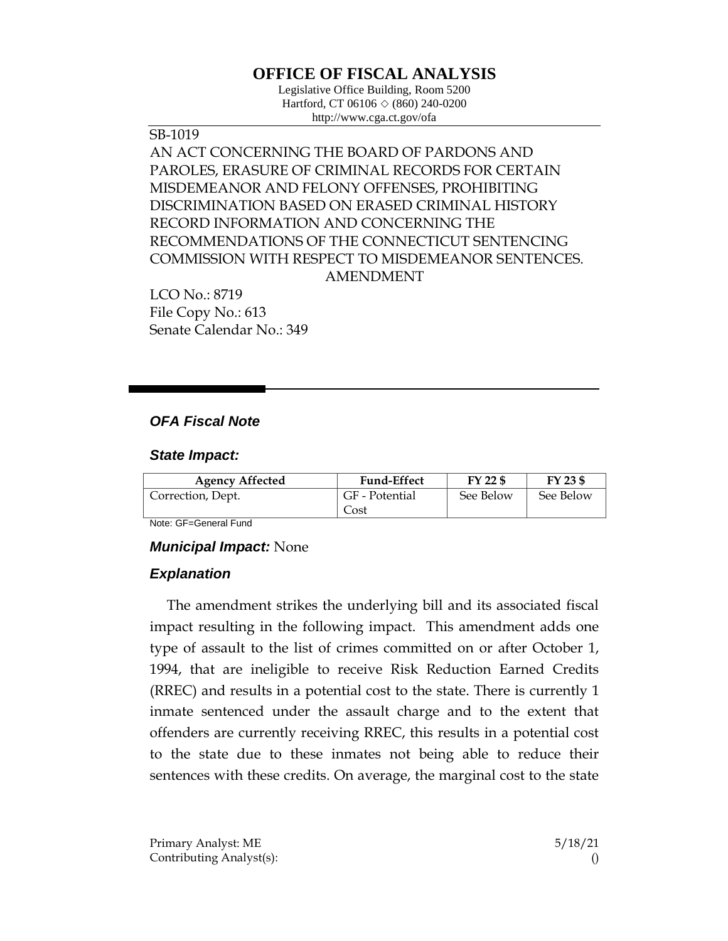# **OFFICE OF FISCAL ANALYSIS**

Legislative Office Building, Room 5200 Hartford, CT 06106 ◇ (860) 240-0200 http://www.cga.ct.gov/ofa

SB-1019 AN ACT CONCERNING THE BOARD OF PARDONS AND PAROLES, ERASURE OF CRIMINAL RECORDS FOR CERTAIN MISDEMEANOR AND FELONY OFFENSES, PROHIBITING DISCRIMINATION BASED ON ERASED CRIMINAL HISTORY RECORD INFORMATION AND CONCERNING THE RECOMMENDATIONS OF THE CONNECTICUT SENTENCING COMMISSION WITH RESPECT TO MISDEMEANOR SENTENCES. AMENDMENT

LCO No.: 8719 File Copy No.: 613 Senate Calendar No.: 349

## *OFA Fiscal Note*

#### *State Impact:*

| <b>Agency Affected</b> | <b>Fund-Effect</b> | FY 22 \$  | FY 23 \$  |
|------------------------|--------------------|-----------|-----------|
| Correction, Dept.      | GF - Potential     | See Below | See Below |
|                        | Cost               |           |           |

Note: GF=General Fund

#### *Municipal Impact:* None

#### *Explanation*

The amendment strikes the underlying bill and its associated fiscal impact resulting in the following impact. This amendment adds one type of assault to the list of crimes committed on or after October 1, 1994, that are ineligible to receive Risk Reduction Earned Credits (RREC) and results in a potential cost to the state. There is currently 1 inmate sentenced under the assault charge and to the extent that offenders are currently receiving RREC, this results in a potential cost to the state due to these inmates not being able to reduce their sentences with these credits. On average, the marginal cost to the state